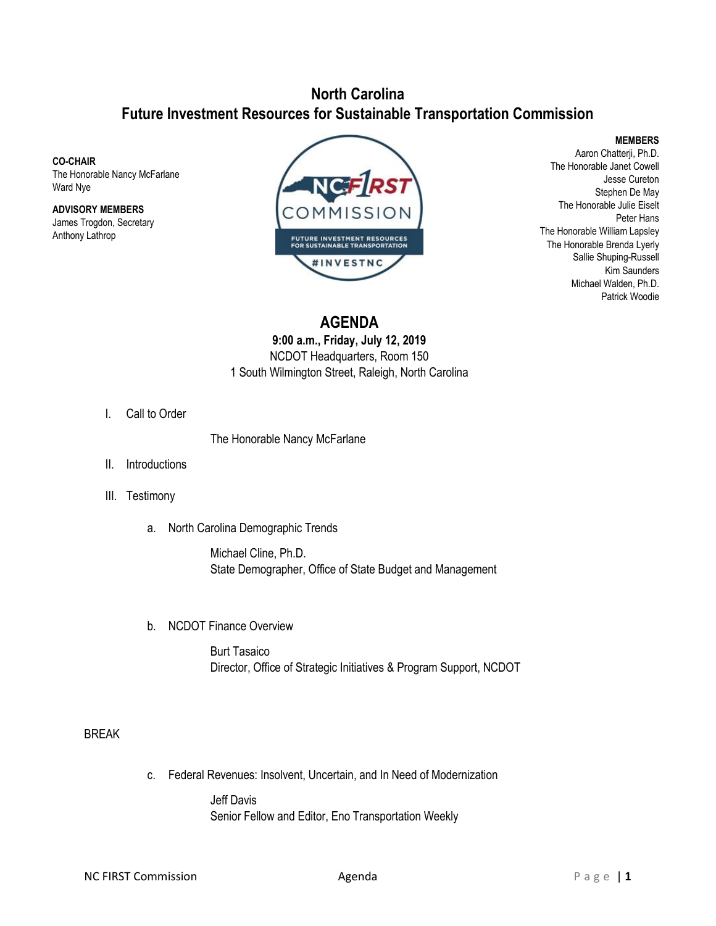## **North Carolina Future Investment Resources for Sustainable Transportation Commission**

#### **CO-CHAIR**

The Honorable Nancy McFarlane Ward Nye

**ADVISORY MEMBERS** James Trogdon, Secretary Anthony Lathrop



#### **MEMBERS**

Aaron Chatterji, Ph.D. The Honorable Janet Cowell Jesse Cureton Stephen De May The Honorable Julie Eiselt Peter Hans The Honorable William Lapsley The Honorable Brenda Lyerly Sallie Shuping-Russell Kim Saunders Michael Walden, Ph.D. Patrick Woodie

## **AGENDA**

### **9:00 a.m., Friday, July 12, 2019** NCDOT Headquarters, Room 150 1 South Wilmington Street, Raleigh, North Carolina

I. Call to Order

The Honorable Nancy McFarlane

- II. Introductions
- III. Testimony
	- a. North Carolina Demographic Trends

Michael Cline, Ph.D. State Demographer, Office of State Budget and Management

b. NCDOT Finance Overview

Burt Tasaico Director, Office of Strategic Initiatives & Program Support, NCDOT

### BREAK

c. Federal Revenues: Insolvent, Uncertain, and In Need of Modernization

Jeff Davis Senior Fellow and Editor, Eno Transportation Weekly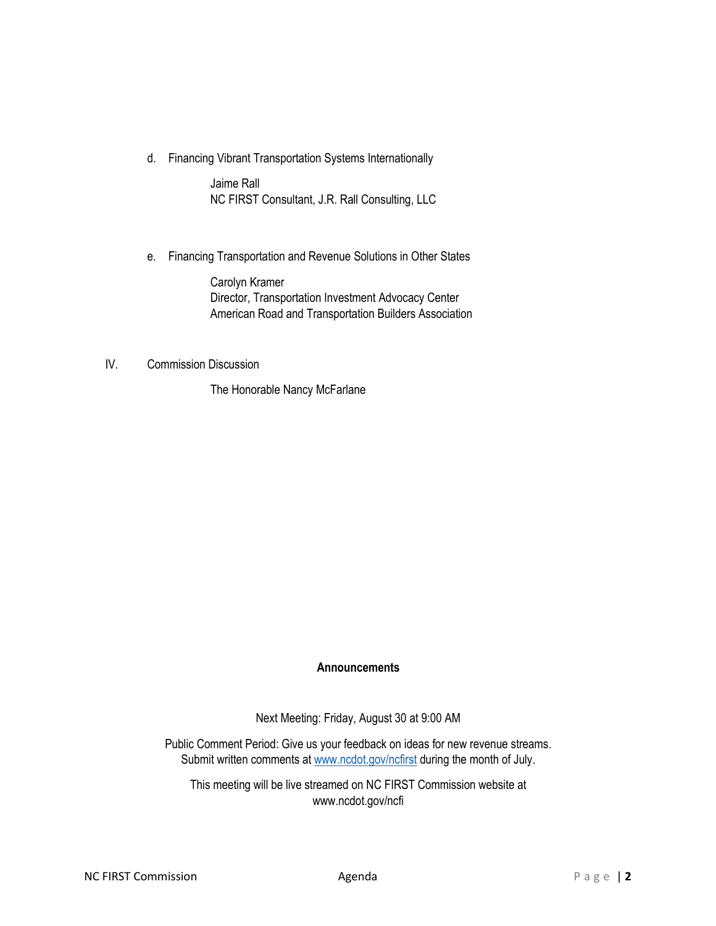d. Financing Vibrant Transportation Systems Internationally

Jaime Rall NC FIRST Consultant, J.R. Rall Consulting, LLC

e. Financing Transportation and Revenue Solutions in Other States

Carolyn Kramer Director, Transportation Investment Advocacy Center American Road and Transportation Builders Association

IV. Commission Discussion

The Honorable Nancy McFarlane

### **Announcements**

Next Meeting: Friday, August 30 at 9:00 AM

Public Comment Period: Give us your feedback on ideas for new revenue streams. Submit written comments at [www.ncdot.gov/ncfirst](http://www.ncdot.gov/ncfirst) during the month of July.

This meeting will be live streamed on NC FIRST Commission website at www.ncdot.gov/ncfi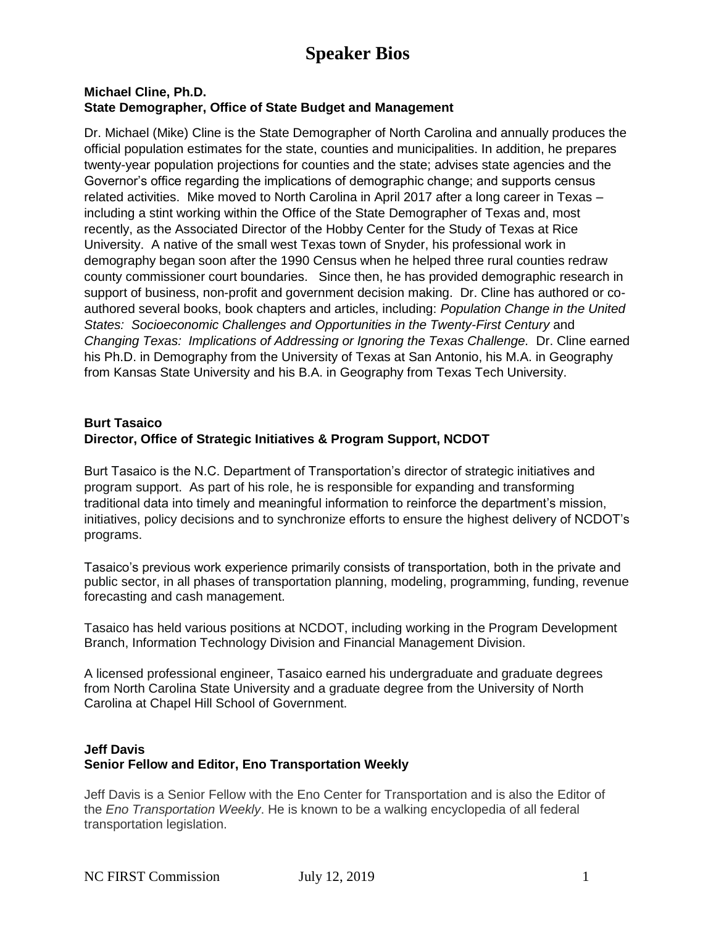# **Speaker Bios**

### **Michael Cline, Ph.D. State Demographer, Office of State Budget and Management**

Dr. Michael (Mike) Cline is the State Demographer of North Carolina and annually produces the official population estimates for the state, counties and municipalities. In addition, he prepares twenty-year population projections for counties and the state; advises state agencies and the Governor's office regarding the implications of demographic change; and supports census related activities. Mike moved to North Carolina in April 2017 after a long career in Texas – including a stint working within the Office of the State Demographer of Texas and, most recently, as the Associated Director of the Hobby Center for the Study of Texas at Rice University. A native of the small west Texas town of Snyder, his professional work in demography began soon after the 1990 Census when he helped three rural counties redraw county commissioner court boundaries. Since then, he has provided demographic research in support of business, non-profit and government decision making. Dr. Cline has authored or coauthored several books, book chapters and articles, including: *Population Change in the United States: Socioeconomic Challenges and Opportunities in the Twenty-First Century* and *Changing Texas: Implications of Addressing or Ignoring the Texas Challenge.* Dr. Cline earned his Ph.D. in Demography from the University of Texas at San Antonio, his M.A. in Geography from Kansas State University and his B.A. in Geography from Texas Tech University.

## **Burt Tasaico Director, Office of Strategic Initiatives & Program Support, NCDOT**

Burt Tasaico is the N.C. Department of Transportation's director of strategic initiatives and program support. As part of his role, he is responsible for expanding and transforming traditional data into timely and meaningful information to reinforce the department's mission, initiatives, policy decisions and to synchronize efforts to ensure the highest delivery of NCDOT's programs.

Tasaico's previous work experience primarily consists of transportation, both in the private and public sector, in all phases of transportation planning, modeling, programming, funding, revenue forecasting and cash management.

Tasaico has held various positions at NCDOT, including working in the Program Development Branch, Information Technology Division and Financial Management Division.

A licensed professional engineer, Tasaico earned his undergraduate and graduate degrees from North Carolina State University and a graduate degree from the University of North Carolina at Chapel Hill School of Government.

## **Jeff Davis Senior Fellow and Editor, Eno Transportation Weekly**

Jeff Davis is a Senior Fellow with the Eno Center for Transportation and is also the Editor of the *Eno Transportation Weekly*. He is known to be a walking encyclopedia of all federal transportation legislation.